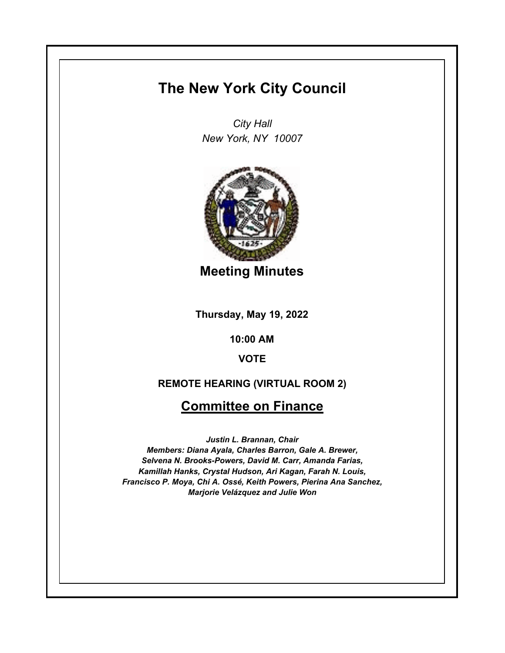# **The New York City Council**

*City Hall New York, NY 10007*



**Meeting Minutes**

**Thursday, May 19, 2022**

**10:00 AM**

**VOTE**

### **REMOTE HEARING (VIRTUAL ROOM 2)**

## **Committee on Finance**

*Justin L. Brannan, Chair Members: Diana Ayala, Charles Barron, Gale A. Brewer, Selvena N. Brooks-Powers, David M. Carr, Amanda Farias, Kamillah Hanks, Crystal Hudson, Ari Kagan, Farah N. Louis, Francisco P. Moya, Chi A. Ossé, Keith Powers, Pierina Ana Sanchez, Marjorie Velázquez and Julie Won*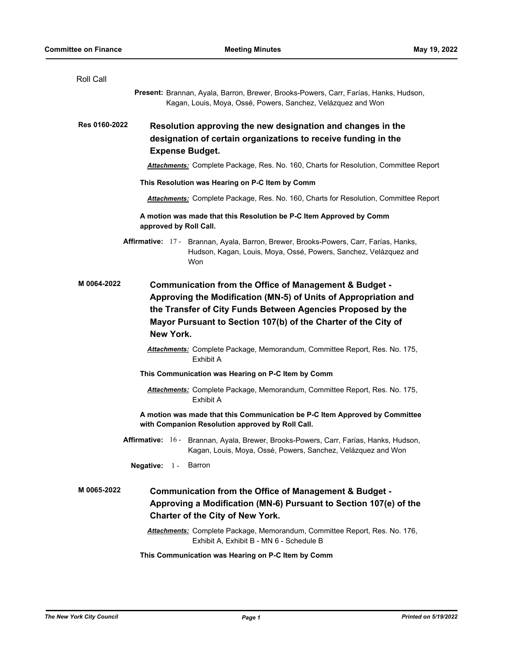| Roll Call     |                                                                                                                                                                                                                                                                         |
|---------------|-------------------------------------------------------------------------------------------------------------------------------------------------------------------------------------------------------------------------------------------------------------------------|
|               | Present: Brannan, Ayala, Barron, Brewer, Brooks-Powers, Carr, Farías, Hanks, Hudson,<br>Kagan, Louis, Moya, Ossé, Powers, Sanchez, Velázquez and Won                                                                                                                    |
| Res 0160-2022 | Resolution approving the new designation and changes in the<br>designation of certain organizations to receive funding in the<br><b>Expense Budget.</b>                                                                                                                 |
|               | <b>Attachments:</b> Complete Package, Res. No. 160, Charts for Resolution, Committee Report                                                                                                                                                                             |
|               | This Resolution was Hearing on P-C Item by Comm                                                                                                                                                                                                                         |
|               | <b>Attachments:</b> Complete Package, Res. No. 160, Charts for Resolution, Committee Report                                                                                                                                                                             |
|               | A motion was made that this Resolution be P-C Item Approved by Comm<br>approved by Roll Call.                                                                                                                                                                           |
|               | Affirmative: 17 - Brannan, Ayala, Barron, Brewer, Brooks-Powers, Carr, Farías, Hanks,<br>Hudson, Kagan, Louis, Moya, Ossé, Powers, Sanchez, Velázquez and<br>Won                                                                                                        |
| M 0064-2022   | Communication from the Office of Management & Budget -<br>Approving the Modification (MN-5) of Units of Appropriation and<br>the Transfer of City Funds Between Agencies Proposed by the<br>Mayor Pursuant to Section 107(b) of the Charter of the City of<br>New York. |
|               | Attachments: Complete Package, Memorandum, Committee Report, Res. No. 175,<br><b>Exhibit A</b>                                                                                                                                                                          |
|               | This Communication was Hearing on P-C Item by Comm                                                                                                                                                                                                                      |
|               | Attachments: Complete Package, Memorandum, Committee Report, Res. No. 175,<br>Exhibit A                                                                                                                                                                                 |
|               | A motion was made that this Communication be P-C Item Approved by Committee<br>with Companion Resolution approved by Roll Call.                                                                                                                                         |
|               | Affirmative: 16 - Brannan, Ayala, Brewer, Brooks-Powers, Carr, Farías, Hanks, Hudson,<br>Kagan, Louis, Moya, Ossé, Powers, Sanchez, Velázquez and Won                                                                                                                   |
|               | Negative: $1 -$<br>Barron                                                                                                                                                                                                                                               |
| M 0065-2022   | Communication from the Office of Management & Budget -<br>Approving a Modification (MN-6) Pursuant to Section 107(e) of the<br><b>Charter of the City of New York.</b>                                                                                                  |
|               | Attachments: Complete Package, Memorandum, Committee Report, Res. No. 176,<br>Exhibit A, Exhibit B - MN 6 - Schedule B                                                                                                                                                  |
|               | This Communication was Hearing on P-C Item by Comm                                                                                                                                                                                                                      |